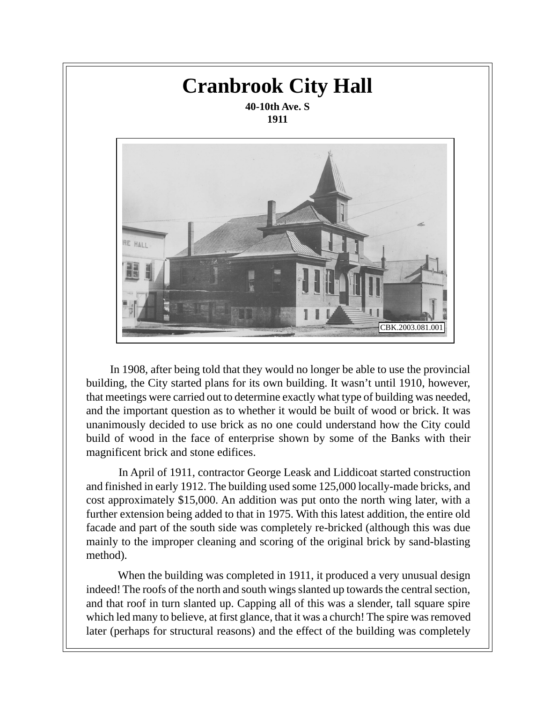

 In 1908, after being told that they would no longer be able to use the provincial building, the City started plans for its own building. It wasn't until 1910, however, that meetings were carried out to determine exactly what type of building was needed, and the important question as to whether it would be built of wood or brick. It was unanimously decided to use brick as no one could understand how the City could build of wood in the face of enterprise shown by some of the Banks with their magnificent brick and stone edifices.

 In April of 1911, contractor George Leask and Liddicoat started construction and finished in early 1912. The building used some 125,000 locally-made bricks, and cost approximately \$15,000. An addition was put onto the north wing later, with a further extension being added to that in 1975. With this latest addition, the entire old facade and part of the south side was completely re-bricked (although this was due mainly to the improper cleaning and scoring of the original brick by sand-blasting method).

 When the building was completed in 1911, it produced a very unusual design indeed! The roofs of the north and south wings slanted up towards the central section, and that roof in turn slanted up. Capping all of this was a slender, tall square spire which led many to believe, at first glance, that it was a church! The spire was removed later (perhaps for structural reasons) and the effect of the building was completely